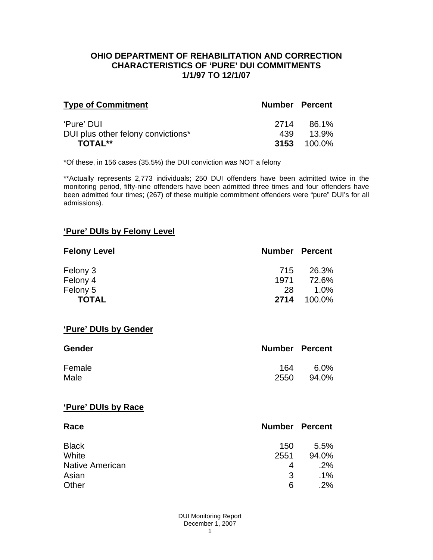#### **OHIO DEPARTMENT OF REHABILITATION AND CORRECTION CHARACTERISTICS OF 'PURE' DUI COMMITMENTS 1/1/97 TO 12/1/07**

| <b>Type of Commitment</b>          | <b>Number Percent</b> |                    |
|------------------------------------|-----------------------|--------------------|
| 'Pure' DUI                         | 2714                  | 86.1%              |
| DUI plus other felony convictions* | 439                   | 13.9%              |
| TOTAL**                            |                       | <b>3153</b> 100.0% |

\*Of these, in 156 cases (35.5%) the DUI conviction was NOT a felony

\*\*Actually represents 2,773 individuals; 250 DUI offenders have been admitted twice in the monitoring period, fifty-nine offenders have been admitted three times and four offenders have been admitted four times; (267) of these multiple commitment offenders were "pure" DUI's for all admissions).

# **'Pure' DUIs by Felony Level**

| <b>Felony Level</b> | <b>Number Percent</b> |         |
|---------------------|-----------------------|---------|
| Felony 3            | 715                   | 26.3%   |
| Felony 4            | 1971                  | 72.6%   |
| Felony 5            | 28                    | $1.0\%$ |
| <b>TOTAL</b>        | 2714                  | 100.0%  |

#### **'Pure' DUIs by Gender**

| <b>Gender</b> | <b>Number Percent</b> |         |
|---------------|-----------------------|---------|
| Female        | 164                   | $6.0\%$ |
| Male          | 2550                  | 94.0%   |

#### **'Pure' DUIs by Race**

| Race                   | <b>Number Percent</b> |        |
|------------------------|-----------------------|--------|
| <b>Black</b>           | 150                   | 5.5%   |
| White                  | 2551                  | 94.0%  |
| <b>Native American</b> | 4                     | .2%    |
| Asian                  | 3                     | $.1\%$ |
| Other                  | 6                     | .2%    |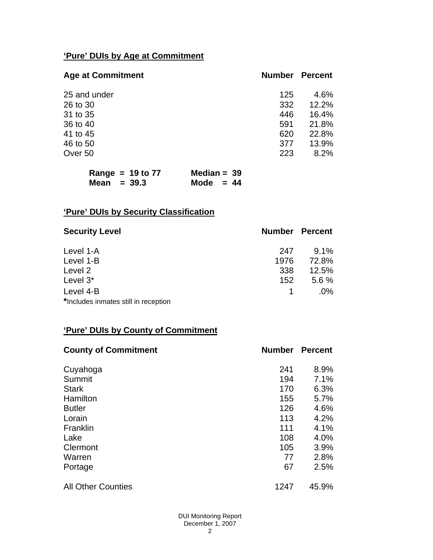# **'Pure' DUIs by Age at Commitment**

| <b>Age at Commitment</b> | <b>Number</b> | <b>Percent</b> |
|--------------------------|---------------|----------------|
| 25 and under             | 125           | 4.6%           |
| 26 to 30                 | 332           | 12.2%          |
| 31 to 35                 | 446           | 16.4%          |
| 36 to 40                 | 591           | 21.8%          |
| 41 to 45                 | 620           | 22.8%          |
| 46 to 50                 | 377           | 13.9%          |
| Over 50                  | 223           | 8.2%           |
|                          |               |                |

| Range = $19$ to 77 | Median = $39$ |
|--------------------|---------------|
| Mean $=$ 39.3      | Mode $= 44$   |

# **'Pure' DUIs by Security Classification**

| <b>Security Level</b>                | <b>Number Percent</b> |         |
|--------------------------------------|-----------------------|---------|
| Level 1-A                            | 247                   | $9.1\%$ |
| Level 1-B                            | 1976                  | 72.8%   |
| Level 2                              | 338                   | 12.5%   |
| Level 3*                             | 152                   | 5.6%    |
| Level 4-B                            |                       | $.0\%$  |
| *Includes inmates still in reception |                       |         |

# **'Pure' DUIs by County of Commitment**

| <b>County of Commitment</b> | <b>Number</b> | <b>Percent</b> |
|-----------------------------|---------------|----------------|
| Cuyahoga                    | 241           | 8.9%           |
| Summit                      | 194           | 7.1%           |
| <b>Stark</b>                | 170           | 6.3%           |
| Hamilton                    | 155           | 5.7%           |
| <b>Butler</b>               | 126           | 4.6%           |
| Lorain                      | 113           | 4.2%           |
| Franklin                    | 111           | 4.1%           |
| Lake                        | 108           | 4.0%           |
| Clermont                    | 105           | 3.9%           |
| Warren                      | 77            | 2.8%           |
| Portage                     | 67            | 2.5%           |
| <b>All Other Counties</b>   | 1247          | 45.9%          |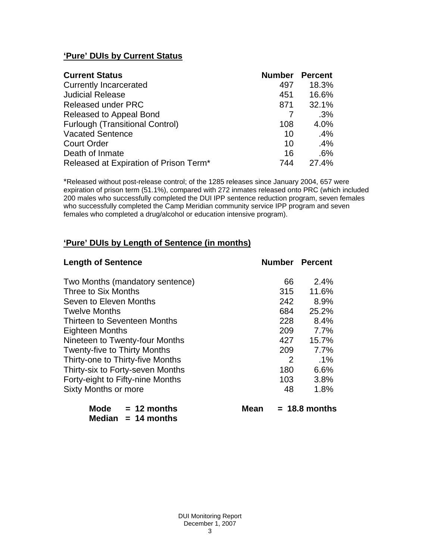# **'Pure' DUIs by Current Status**

| <b>Current Status</b>                  | <b>Number</b> | <b>Percent</b> |
|----------------------------------------|---------------|----------------|
| <b>Currently Incarcerated</b>          | 497           | 18.3%          |
| <b>Judicial Release</b>                | 451           | 16.6%          |
| <b>Released under PRC</b>              | 871           | 32.1%          |
| Released to Appeal Bond                |               | .3%            |
| <b>Furlough (Transitional Control)</b> | 108           | 4.0%           |
| <b>Vacated Sentence</b>                | 10            | .4%            |
| <b>Court Order</b>                     | 10            | .4%            |
| Death of Inmate                        | 16            | .6%            |
| Released at Expiration of Prison Term* | 744           | 27.4%          |

\*Released without post-release control; of the 1285 releases since January 2004, 657 were expiration of prison term (51.1%), compared with 272 inmates released onto PRC (which included 200 males who successfully completed the DUI IPP sentence reduction program, seven females who successfully completed the Camp Meridian community service IPP program and seven females who completed a drug/alcohol or education intensive program).

# **'Pure' DUIs by Length of Sentence (in months)**

| <b>Length of Sentence</b>           | <b>Number Percent</b> |                 |
|-------------------------------------|-----------------------|-----------------|
| Two Months (mandatory sentence)     | 66                    | 2.4%            |
| Three to Six Months                 | 315                   | 11.6%           |
| Seven to Eleven Months              | 242                   | 8.9%            |
| <b>Twelve Months</b>                | 684                   | 25.2%           |
| Thirteen to Seventeen Months        | 228                   | 8.4%            |
| <b>Eighteen Months</b>              | 209                   | 7.7%            |
| Nineteen to Twenty-four Months      | 427                   | 15.7%           |
| <b>Twenty-five to Thirty Months</b> | 209                   | 7.7%            |
| Thirty-one to Thirty-five Months    | 2                     | $.1\%$          |
| Thirty-six to Forty-seven Months    | 180                   | 6.6%            |
| Forty-eight to Fifty-nine Months    | 103                   | 3.8%            |
| Sixty Months or more                | 48                    | 1.8%            |
| Mode<br>$= 12$ months<br>Mean       |                       | $= 18.8$ months |

 **Median = 14 months**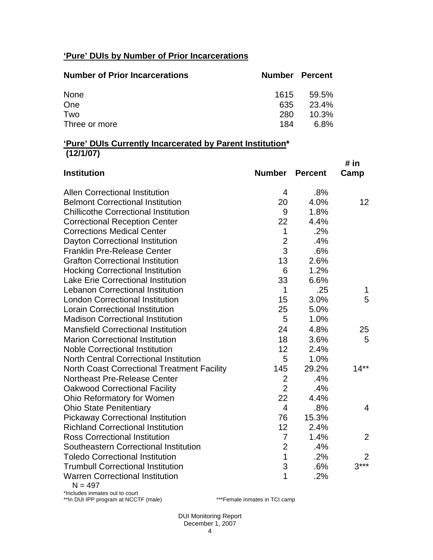# **'Pure' DUIs by Number of Prior Incarcerations**

| <b>Number of Prior Incarcerations</b> |      | <b>Number Percent</b> |
|---------------------------------------|------|-----------------------|
| None                                  | 1615 | 59.5%                 |
| One                                   | 635  | 23.4%                 |
| Two                                   | 280  | $10.3\%$              |
| Three or more                         | 184  | 6.8%                  |

#### **'Pure' DUIs Currently Incarcerated by Parent Institution\* (12/1/07)**

| <b>Institution</b>                                 | <b>Number</b>  | <b>Percent</b> | # in<br>Camp   |
|----------------------------------------------------|----------------|----------------|----------------|
| <b>Allen Correctional Institution</b>              | 4              | .8%            |                |
| <b>Belmont Correctional Institution</b>            | 20             | 4.0%           | 12             |
| <b>Chillicothe Correctional Institution</b>        | 9              | 1.8%           |                |
| <b>Correctional Reception Center</b>               | 22             | 4.4%           |                |
| <b>Corrections Medical Center</b>                  | $\mathbf{1}$   | .2%            |                |
| <b>Dayton Correctional Institution</b>             | $\overline{2}$ | .4%            |                |
| <b>Franklin Pre-Release Center</b>                 | 3              | .6%            |                |
| <b>Grafton Correctional Institution</b>            | 13             | 2.6%           |                |
| <b>Hocking Correctional Institution</b>            | 6              | 1.2%           |                |
| <b>Lake Erie Correctional Institution</b>          | 33             | 6.6%           |                |
| <b>Lebanon Correctional Institution</b>            | 1              | .25            | 1              |
| <b>London Correctional Institution</b>             | 15             | 3.0%           | 5              |
| <b>Lorain Correctional Institution</b>             | 25             | 5.0%           |                |
| <b>Madison Correctional Institution</b>            | 5              | 1.0%           |                |
| <b>Mansfield Correctional Institution</b>          | 24             | 4.8%           | 25             |
| <b>Marion Correctional Institution</b>             | 18             | 3.6%           | 5              |
| <b>Noble Correctional Institution</b>              | 12             | 2.4%           |                |
| <b>North Central Correctional Institution</b>      | 5              | 1.0%           |                |
| <b>North Coast Correctional Treatment Facility</b> | 145            | 29.2%          | $14**$         |
| <b>Northeast Pre-Release Center</b>                | $\overline{2}$ | .4%            |                |
| <b>Oakwood Correctional Facility</b>               | $\overline{2}$ | .4%            |                |
| Ohio Reformatory for Women                         | 22             | 4.4%           |                |
| <b>Ohio State Penitentiary</b>                     | $\overline{4}$ | .8%            | 4              |
| <b>Pickaway Correctional Institution</b>           | 76             | 15.3%          |                |
| <b>Richland Correctional Institution</b>           | 12             | 2.4%           |                |
| <b>Ross Correctional Institution</b>               | $\overline{7}$ | 1.4%           | $\overline{2}$ |
| Southeastern Correctional Institution              | $\overline{2}$ | .4%            |                |
| <b>Toledo Correctional Institution</b>             | $\overline{1}$ | .2%            | 2              |
| <b>Trumbull Correctional Institution</b>           | 3              | .6%            | $3***$         |
| <b>Warren Correctional Institution</b>             | 1              | .2%            |                |

 $N = 497$ 

\*Includes inmates out to court \*\*In DUI IPP program at NCCTF (male) \*\*\*Female inmates in TCI camp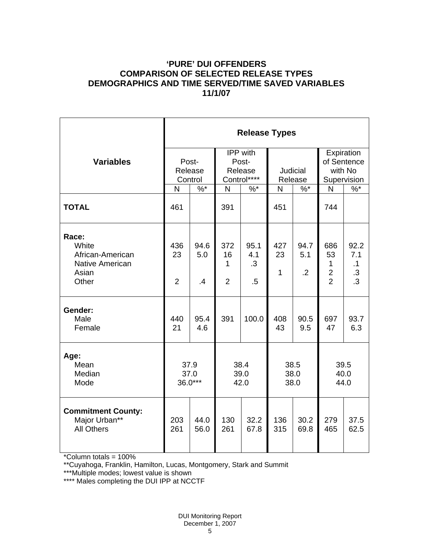# **'PURE' DUI OFFENDERS COMPARISON OF SELECTED RELEASE TYPES DEMOGRAPHICS AND TIME SERVED/TIME SAVED VARIABLES 11/1/07**

|                                                                                | <b>Release Types</b>        |                              |                                             |                                    |                            |                           |                                                               |                                                         |  |  |
|--------------------------------------------------------------------------------|-----------------------------|------------------------------|---------------------------------------------|------------------------------------|----------------------------|---------------------------|---------------------------------------------------------------|---------------------------------------------------------|--|--|
| <b>Variables</b>                                                               | Post-<br>Release<br>Control |                              | IPP with<br>Post-<br>Release<br>Control**** |                                    | <b>Judicial</b><br>Release |                           | Expiration<br>of Sentence<br>with No<br>Supervision           |                                                         |  |  |
|                                                                                | $\%$ *<br>N                 |                              | N<br>$%$ *                                  |                                    | $\%$ $*$<br>N              |                           | N                                                             | $\%$                                                    |  |  |
| <b>TOTAL</b>                                                                   | 461                         |                              | 391                                         |                                    | 451                        |                           | 744                                                           |                                                         |  |  |
| Race:<br>White<br>African-American<br><b>Native American</b><br>Asian<br>Other | 436<br>23<br>$\overline{2}$ | 94.6<br>5.0<br>$\mathcal{A}$ | 372<br>16<br>1<br>$\overline{2}$            | 95.1<br>4.1<br>$\cdot$ 3<br>$.5\,$ | 427<br>23<br>1             | 94.7<br>5.1<br>$\cdot$ .2 | 686<br>53<br>$\mathbf{1}$<br>$\overline{c}$<br>$\overline{2}$ | 92.2<br>7.1<br>$\cdot$ 1<br>$\cdot$ 3<br>$\overline{3}$ |  |  |
| Gender:<br>Male<br>Female                                                      | 440<br>21                   | 95.4<br>4.6                  | 391                                         | 100.0                              | 408<br>43                  | 90.5<br>9.5               | 697<br>47                                                     | 93.7<br>6.3                                             |  |  |
| Age:<br>Mean<br>Median<br>Mode                                                 | 37.9<br>37.0<br>$36.0***$   |                              | 38.4<br>39.0<br>42.0                        |                                    | 38.5<br>38.0<br>38.0       |                           | 39.5<br>40.0<br>44.0                                          |                                                         |  |  |
| <b>Commitment County:</b><br>Major Urban**<br><b>All Others</b>                | 203<br>261                  | 44.0<br>56.0                 | 130<br>261                                  | 32.2<br>67.8                       | 136<br>315                 | 30.2<br>69.8              | 279<br>465                                                    | 37.5<br>62.5                                            |  |  |

\*Column totals = 100%

\*\*Cuyahoga, Franklin, Hamilton, Lucas, Montgomery, Stark and Summit

\*\*\*Multiple modes; lowest value is shown

\*\*\*\* Males completing the DUI IPP at NCCTF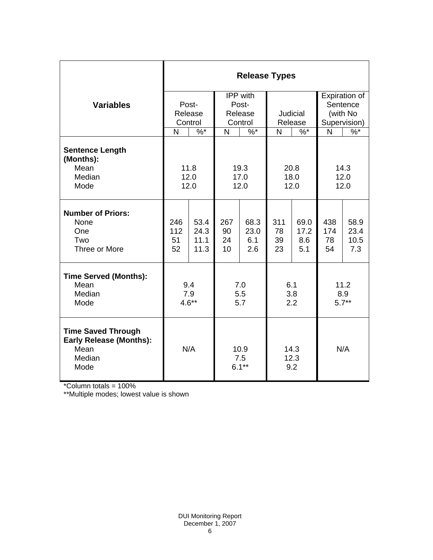|                                                                                       | <b>Release Types</b>        |                              |                                         |                            |                       |                            |                                                       |                             |  |  |
|---------------------------------------------------------------------------------------|-----------------------------|------------------------------|-----------------------------------------|----------------------------|-----------------------|----------------------------|-------------------------------------------------------|-----------------------------|--|--|
| <b>Variables</b>                                                                      | Post-<br>Release<br>Control |                              | IPP with<br>Post-<br>Release<br>Control |                            | Judicial<br>Release   |                            | Expiration of<br>Sentence<br>(with No<br>Supervision) |                             |  |  |
|                                                                                       | N                           | $\%$ *                       | $\sqrt[6]{6}$<br>N                      |                            | N<br>$\%$ *           |                            | N                                                     | $\frac{9}{6}$               |  |  |
| <b>Sentence Length</b><br>(Months):<br>Mean<br>Median<br>Mode                         |                             | 11.8<br>12.0<br>12.0         | 19.3<br>17.0<br>12.0                    |                            | 20.8<br>18.0<br>12.0  |                            | 14.3<br>12.0<br>12.0                                  |                             |  |  |
| <b>Number of Priors:</b><br>None<br>One<br>Two<br>Three or More                       | 246<br>112<br>51<br>52      | 53.4<br>24.3<br>11.1<br>11.3 | 267<br>90<br>24<br>10                   | 68.3<br>23.0<br>6.1<br>2.6 | 311<br>78<br>39<br>23 | 69.0<br>17.2<br>8.6<br>5.1 | 438<br>174<br>78<br>54                                | 58.9<br>23.4<br>10.5<br>7.3 |  |  |
| <b>Time Served (Months):</b><br>Mean<br>Median<br>Mode                                | 9.4<br>7.9<br>$4.6**$       |                              | 7.0<br>5.5<br>5.7                       |                            | 6.1<br>3.8<br>2.2     |                            | 11.2<br>8.9<br>$5.7**$                                |                             |  |  |
| <b>Time Saved Through</b><br><b>Early Release (Months):</b><br>Mean<br>Median<br>Mode | N/A                         |                              | 10.9<br>7.5<br>$6.1***$                 |                            | 14.3<br>12.3<br>9.2   |                            | N/A                                                   |                             |  |  |

\*Column totals = 100%

\*\*Multiple modes; lowest value is shown